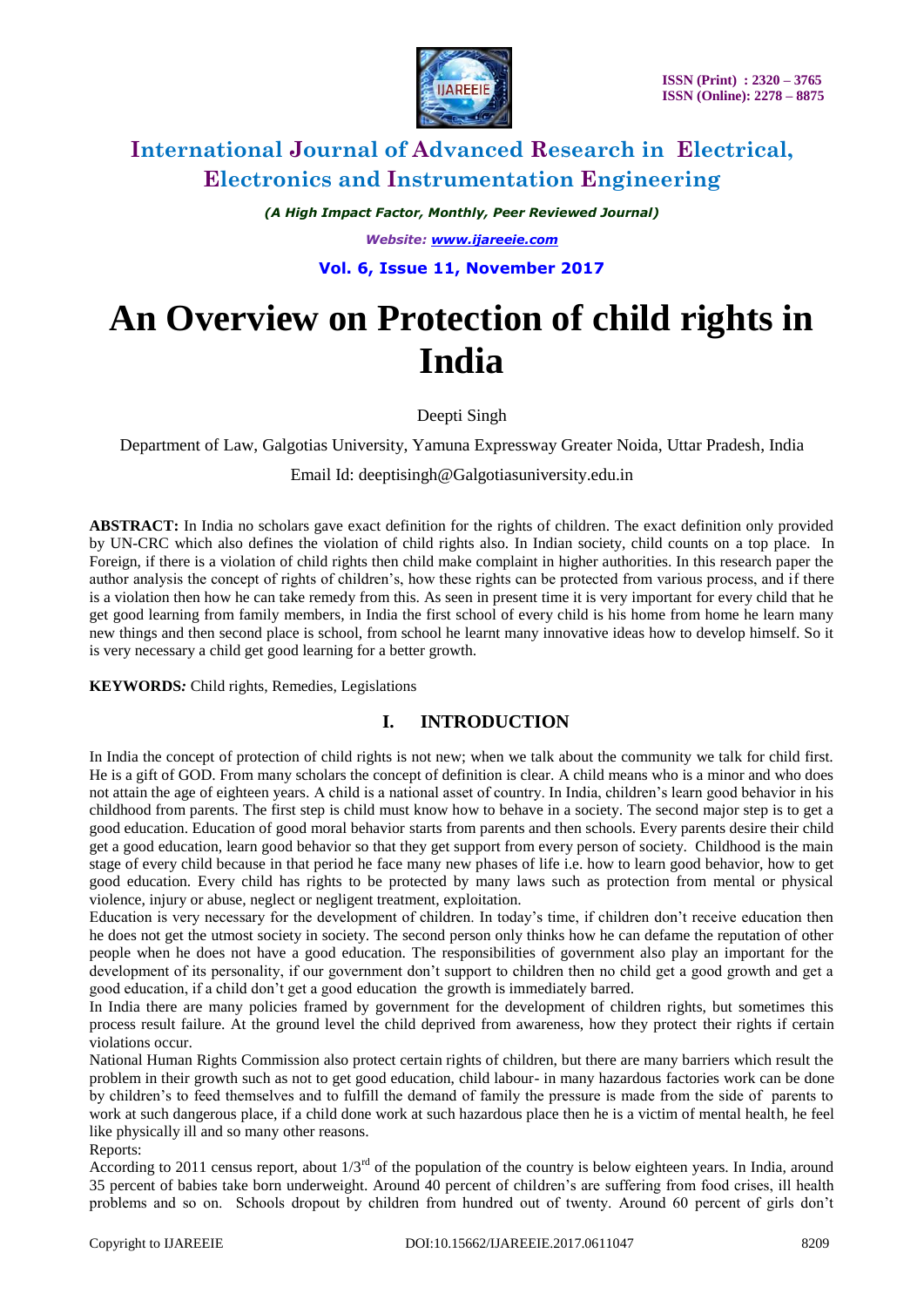

*(A High Impact Factor, Monthly, Peer Reviewed Journal) Website: [www.ijareeie.com](http://www.ijareeie.com/)*

**Vol. 6, Issue 11, November 2017**

# **An Overview on Protection of child rights in India**

Deepti Singh

Department of Law, Galgotias University, Yamuna Expressway Greater Noida, Uttar Pradesh, India

Email Id: deeptisingh@Galgotiasuniversity.edu.in

**ABSTRACT:** In India no scholars gave exact definition for the rights of children. The exact definition only provided by UN-CRC which also defines the violation of child rights also. In Indian society, child counts on a top place. In Foreign, if there is a violation of child rights then child make complaint in higher authorities. In this research paper the author analysis the concept of rights of children's, how these rights can be protected from various process, and if there is a violation then how he can take remedy from this. As seen in present time it is very important for every child that he get good learning from family members, in India the first school of every child is his home from home he learn many new things and then second place is school, from school he learnt many innovative ideas how to develop himself. So it is very necessary a child get good learning for a better growth.

**KEYWORDS***:* Child rights, Remedies, Legislations

### **I. INTRODUCTION**

In India the concept of protection of child rights is not new; when we talk about the community we talk for child first. He is a gift of GOD. From many scholars the concept of definition is clear. A child means who is a minor and who does not attain the age of eighteen years. A child is a national asset of country. In India, children's learn good behavior in his childhood from parents. The first step is child must know how to behave in a society. The second major step is to get a good education. Education of good moral behavior starts from parents and then schools. Every parents desire their child get a good education, learn good behavior so that they get support from every person of society. Childhood is the main stage of every child because in that period he face many new phases of life i.e. how to learn good behavior, how to get good education. Every child has rights to be protected by many laws such as protection from mental or physical violence, injury or abuse, neglect or negligent treatment, exploitation.

Education is very necessary for the development of children. In today's time, if children don't receive education then he does not get the utmost society in society. The second person only thinks how he can defame the reputation of other people when he does not have a good education. The responsibilities of government also play an important for the development of its personality, if our government don't support to children then no child get a good growth and get a good education, if a child don't get a good education the growth is immediately barred.

In India there are many policies framed by government for the development of children rights, but sometimes this process result failure. At the ground level the child deprived from awareness, how they protect their rights if certain violations occur.

National Human Rights Commission also protect certain rights of children, but there are many barriers which result the problem in their growth such as not to get good education, child labour- in many hazardous factories work can be done by children's to feed themselves and to fulfill the demand of family the pressure is made from the side of parents to work at such dangerous place, if a child done work at such hazardous place then he is a victim of mental health, he feel like physically ill and so many other reasons.

Reports:

According to 2011 census report, about  $1/3<sup>rd</sup>$  of the population of the country is below eighteen years. In India, around 35 percent of babies take born underweight. Around 40 percent of children's are suffering from food crises, ill health problems and so on. Schools dropout by children from hundred out of twenty. Around 60 percent of girls don't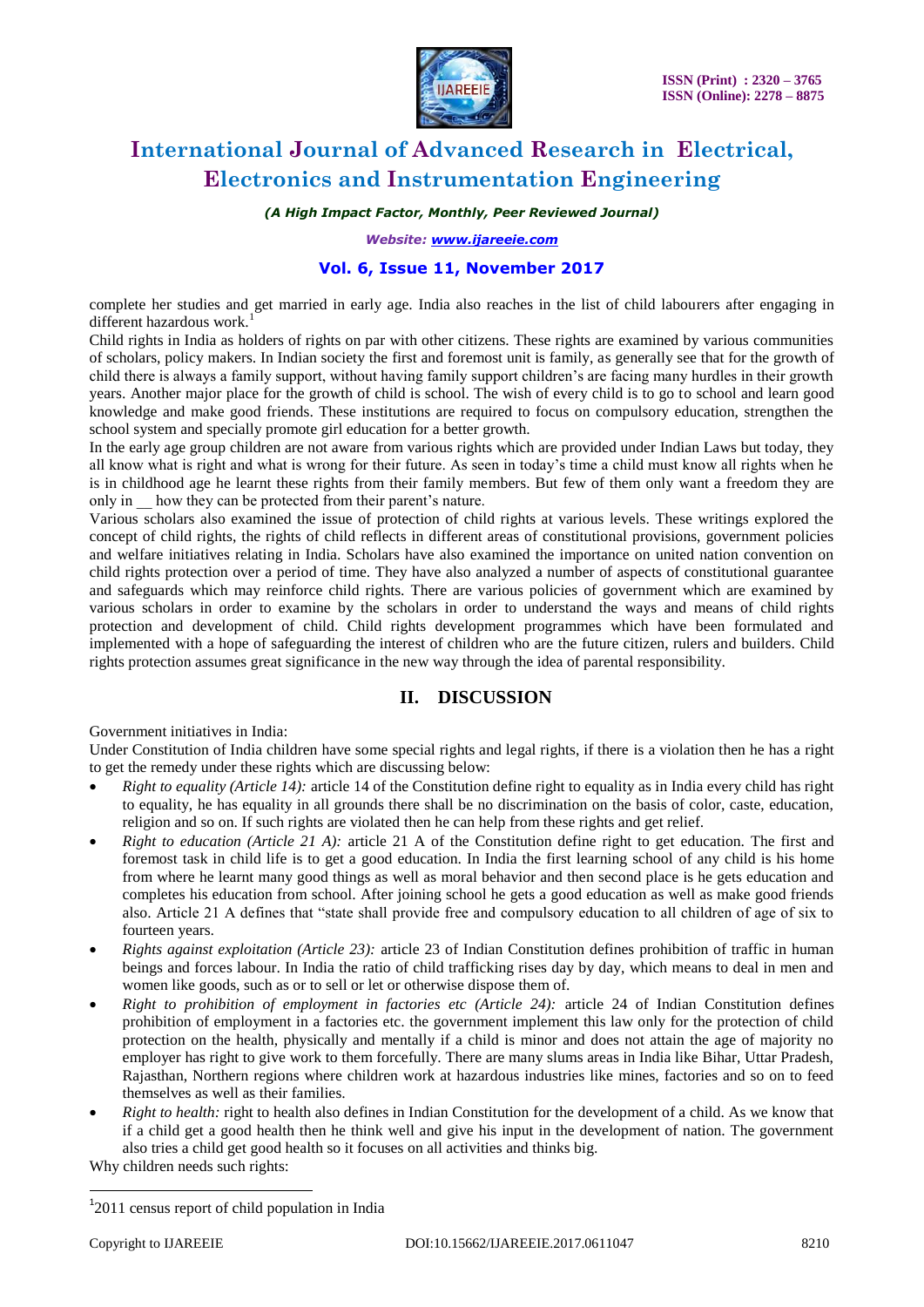

*(A High Impact Factor, Monthly, Peer Reviewed Journal)*

*Website: [www.ijareeie.com](http://www.ijareeie.com/)*

### **Vol. 6, Issue 11, November 2017**

complete her studies and get married in early age. India also reaches in the list of child labourers after engaging in different hazardous work.<sup>1</sup>

Child rights in India as holders of rights on par with other citizens. These rights are examined by various communities of scholars, policy makers. In Indian society the first and foremost unit is family, as generally see that for the growth of child there is always a family support, without having family support children's are facing many hurdles in their growth years. Another major place for the growth of child is school. The wish of every child is to go to school and learn good knowledge and make good friends. These institutions are required to focus on compulsory education, strengthen the school system and specially promote girl education for a better growth.

In the early age group children are not aware from various rights which are provided under Indian Laws but today, they all know what is right and what is wrong for their future. As seen in today's time a child must know all rights when he is in childhood age he learnt these rights from their family members. But few of them only want a freedom they are only in how they can be protected from their parent's nature.

Various scholars also examined the issue of protection of child rights at various levels. These writings explored the concept of child rights, the rights of child reflects in different areas of constitutional provisions, government policies and welfare initiatives relating in India. Scholars have also examined the importance on united nation convention on child rights protection over a period of time. They have also analyzed a number of aspects of constitutional guarantee and safeguards which may reinforce child rights. There are various policies of government which are examined by various scholars in order to examine by the scholars in order to understand the ways and means of child rights protection and development of child. Child rights development programmes which have been formulated and implemented with a hope of safeguarding the interest of children who are the future citizen, rulers and builders. Child rights protection assumes great significance in the new way through the idea of parental responsibility.

### **II. DISCUSSION**

Government initiatives in India:

Under Constitution of India children have some special rights and legal rights, if there is a violation then he has a right to get the remedy under these rights which are discussing below:

- *Right to equality (Article 14):* article 14 of the Constitution define right to equality as in India every child has right to equality, he has equality in all grounds there shall be no discrimination on the basis of color, caste, education, religion and so on. If such rights are violated then he can help from these rights and get relief.
- *Right to education (Article 21 A):* article 21 A of the Constitution define right to get education. The first and foremost task in child life is to get a good education. In India the first learning school of any child is his home from where he learnt many good things as well as moral behavior and then second place is he gets education and completes his education from school. After joining school he gets a good education as well as make good friends also. Article 21 A defines that "state shall provide free and compulsory education to all children of age of six to fourteen years.
- *Rights against exploitation (Article 23):* article 23 of Indian Constitution defines prohibition of traffic in human beings and forces labour. In India the ratio of child trafficking rises day by day, which means to deal in men and women like goods, such as or to sell or let or otherwise dispose them of.
- *Right to prohibition of employment in factories etc (Article 24):* article 24 of Indian Constitution defines prohibition of employment in a factories etc. the government implement this law only for the protection of child protection on the health, physically and mentally if a child is minor and does not attain the age of majority no employer has right to give work to them forcefully. There are many slums areas in India like Bihar, Uttar Pradesh, Rajasthan, Northern regions where children work at hazardous industries like mines, factories and so on to feed themselves as well as their families.
- *Right to health:* right to health also defines in Indian Constitution for the development of a child. As we know that if a child get a good health then he think well and give his input in the development of nation. The government also tries a child get good health so it focuses on all activities and thinks big.

Why children needs such rights:

 $\overline{a}$ 

<sup>&</sup>lt;sup>1</sup>2011 census report of child population in India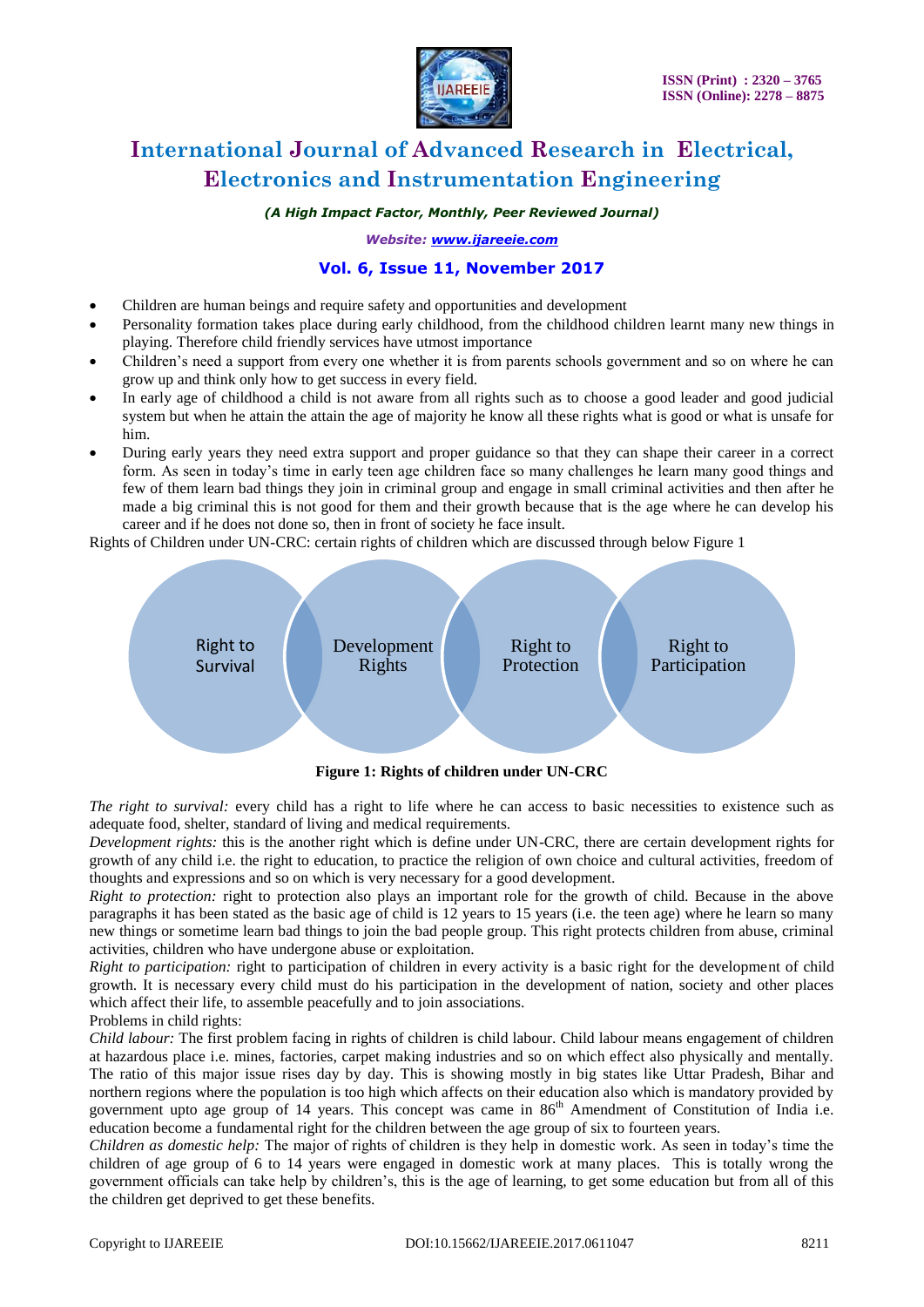

*(A High Impact Factor, Monthly, Peer Reviewed Journal)*

*Website: [www.ijareeie.com](http://www.ijareeie.com/)*

### **Vol. 6, Issue 11, November 2017**

- Children are human beings and require safety and opportunities and development
- Personality formation takes place during early childhood, from the childhood children learnt many new things in playing. Therefore child friendly services have utmost importance
- Children's need a support from every one whether it is from parents schools government and so on where he can grow up and think only how to get success in every field.
- In early age of childhood a child is not aware from all rights such as to choose a good leader and good judicial system but when he attain the attain the age of majority he know all these rights what is good or what is unsafe for him.
- During early years they need extra support and proper guidance so that they can shape their career in a correct form. As seen in today's time in early teen age children face so many challenges he learn many good things and few of them learn bad things they join in criminal group and engage in small criminal activities and then after he made a big criminal this is not good for them and their growth because that is the age where he can develop his career and if he does not done so, then in front of society he face insult.

Rights of Children under UN-CRC: certain rights of children which are discussed through below Figure 1



**Figure 1: Rights of children under UN-CRC**

*The right to survival:* every child has a right to life where he can access to basic necessities to existence such as adequate food, shelter, standard of living and medical requirements.

*Development rights:* this is the another right which is define under UN-CRC, there are certain development rights for growth of any child i.e. the right to education, to practice the religion of own choice and cultural activities, freedom of thoughts and expressions and so on which is very necessary for a good development.

*Right to protection:* right to protection also plays an important role for the growth of child. Because in the above paragraphs it has been stated as the basic age of child is 12 years to 15 years (i.e. the teen age) where he learn so many new things or sometime learn bad things to join the bad people group. This right protects children from abuse, criminal activities, children who have undergone abuse or exploitation.

*Right to participation:* right to participation of children in every activity is a basic right for the development of child growth. It is necessary every child must do his participation in the development of nation, society and other places which affect their life, to assemble peacefully and to join associations.

Problems in child rights:

*Child labour:* The first problem facing in rights of children is child labour. Child labour means engagement of children at hazardous place i.e. mines, factories, carpet making industries and so on which effect also physically and mentally. The ratio of this major issue rises day by day. This is showing mostly in big states like Uttar Pradesh, Bihar and northern regions where the population is too high which affects on their education also which is mandatory provided by government upto age group of 14 years. This concept was came in  $86<sup>th</sup>$  Amendment of Constitution of India i.e. education become a fundamental right for the children between the age group of six to fourteen years.

*Children as domestic help:* The major of rights of children is they help in domestic work. As seen in today's time the children of age group of 6 to 14 years were engaged in domestic work at many places. This is totally wrong the government officials can take help by children's, this is the age of learning, to get some education but from all of this the children get deprived to get these benefits.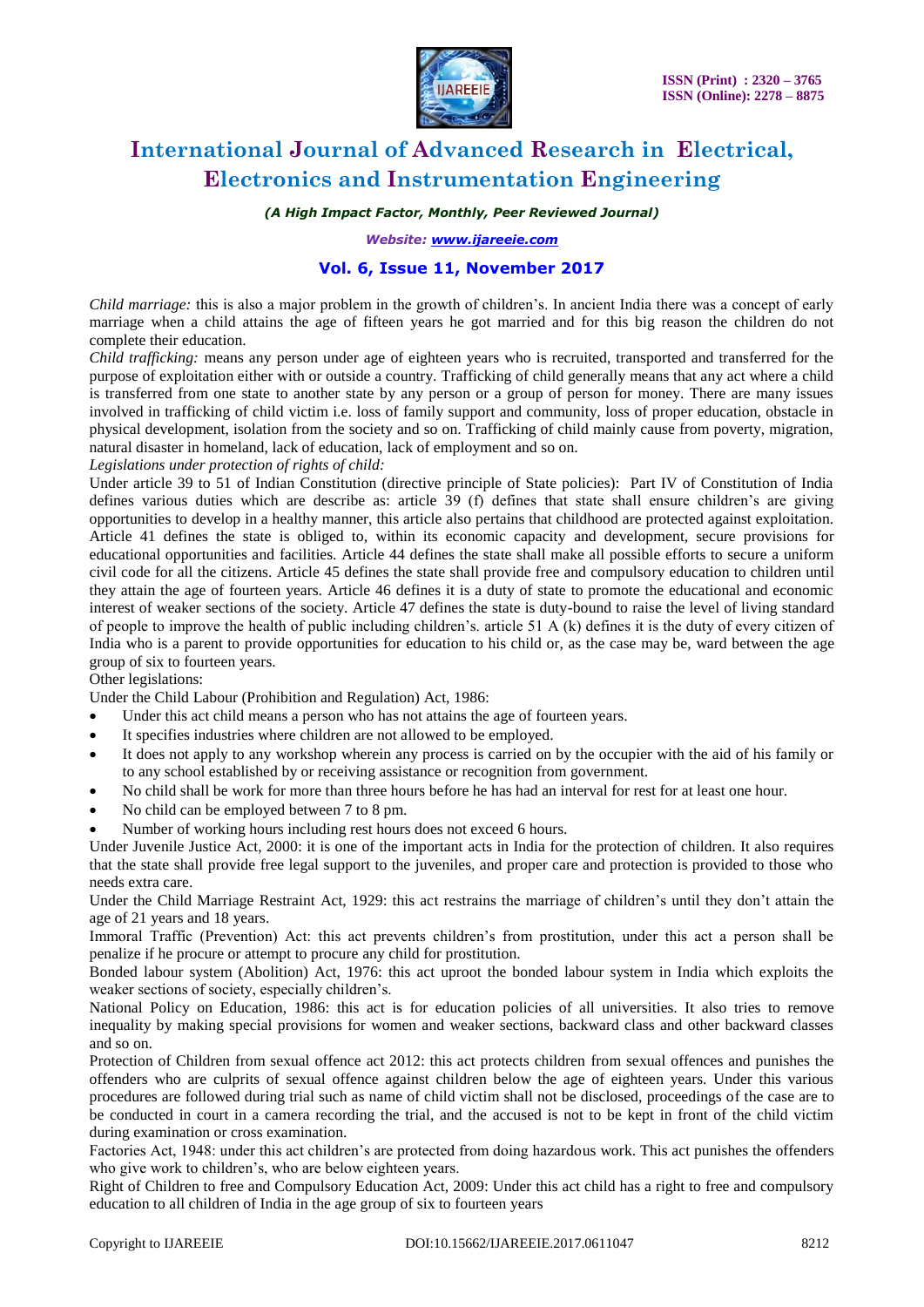

### *(A High Impact Factor, Monthly, Peer Reviewed Journal)*

*Website: [www.ijareeie.com](http://www.ijareeie.com/)*

### **Vol. 6, Issue 11, November 2017**

*Child marriage:* this is also a major problem in the growth of children's. In ancient India there was a concept of early marriage when a child attains the age of fifteen years he got married and for this big reason the children do not complete their education.

*Child trafficking:* means any person under age of eighteen years who is recruited, transported and transferred for the purpose of exploitation either with or outside a country. Trafficking of child generally means that any act where a child is transferred from one state to another state by any person or a group of person for money. There are many issues involved in trafficking of child victim i.e. loss of family support and community, loss of proper education, obstacle in physical development, isolation from the society and so on. Trafficking of child mainly cause from poverty, migration, natural disaster in homeland, lack of education, lack of employment and so on.

*Legislations under protection of rights of child:*

Under article 39 to 51 of Indian Constitution (directive principle of State policies): Part IV of Constitution of India defines various duties which are describe as: article 39 (f) defines that state shall ensure children's are giving opportunities to develop in a healthy manner, this article also pertains that childhood are protected against exploitation. Article 41 defines the state is obliged to, within its economic capacity and development, secure provisions for educational opportunities and facilities. Article 44 defines the state shall make all possible efforts to secure a uniform civil code for all the citizens. Article 45 defines the state shall provide free and compulsory education to children until they attain the age of fourteen years. Article 46 defines it is a duty of state to promote the educational and economic interest of weaker sections of the society. Article 47 defines the state is duty-bound to raise the level of living standard of people to improve the health of public including children's. article 51 A (k) defines it is the duty of every citizen of India who is a parent to provide opportunities for education to his child or, as the case may be, ward between the age group of six to fourteen years.

Other legislations:

Under the Child Labour (Prohibition and Regulation) Act, 1986:

- Under this act child means a person who has not attains the age of fourteen years.
- It specifies industries where children are not allowed to be employed.
- It does not apply to any workshop wherein any process is carried on by the occupier with the aid of his family or to any school established by or receiving assistance or recognition from government.
- No child shall be work for more than three hours before he has had an interval for rest for at least one hour.
- No child can be employed between 7 to 8 pm.
- Number of working hours including rest hours does not exceed 6 hours.

Under Juvenile Justice Act, 2000: it is one of the important acts in India for the protection of children. It also requires that the state shall provide free legal support to the juveniles, and proper care and protection is provided to those who needs extra care.

Under the Child Marriage Restraint Act, 1929: this act restrains the marriage of children's until they don't attain the age of 21 years and 18 years.

Immoral Traffic (Prevention) Act: this act prevents children's from prostitution, under this act a person shall be penalize if he procure or attempt to procure any child for prostitution.

Bonded labour system (Abolition) Act, 1976: this act uproot the bonded labour system in India which exploits the weaker sections of society, especially children's.

National Policy on Education, 1986: this act is for education policies of all universities. It also tries to remove inequality by making special provisions for women and weaker sections, backward class and other backward classes and so on.

Protection of Children from sexual offence act 2012: this act protects children from sexual offences and punishes the offenders who are culprits of sexual offence against children below the age of eighteen years. Under this various procedures are followed during trial such as name of child victim shall not be disclosed, proceedings of the case are to be conducted in court in a camera recording the trial, and the accused is not to be kept in front of the child victim during examination or cross examination.

Factories Act, 1948: under this act children's are protected from doing hazardous work. This act punishes the offenders who give work to children's, who are below eighteen years.

Right of Children to free and Compulsory Education Act, 2009: Under this act child has a right to free and compulsory education to all children of India in the age group of six to fourteen years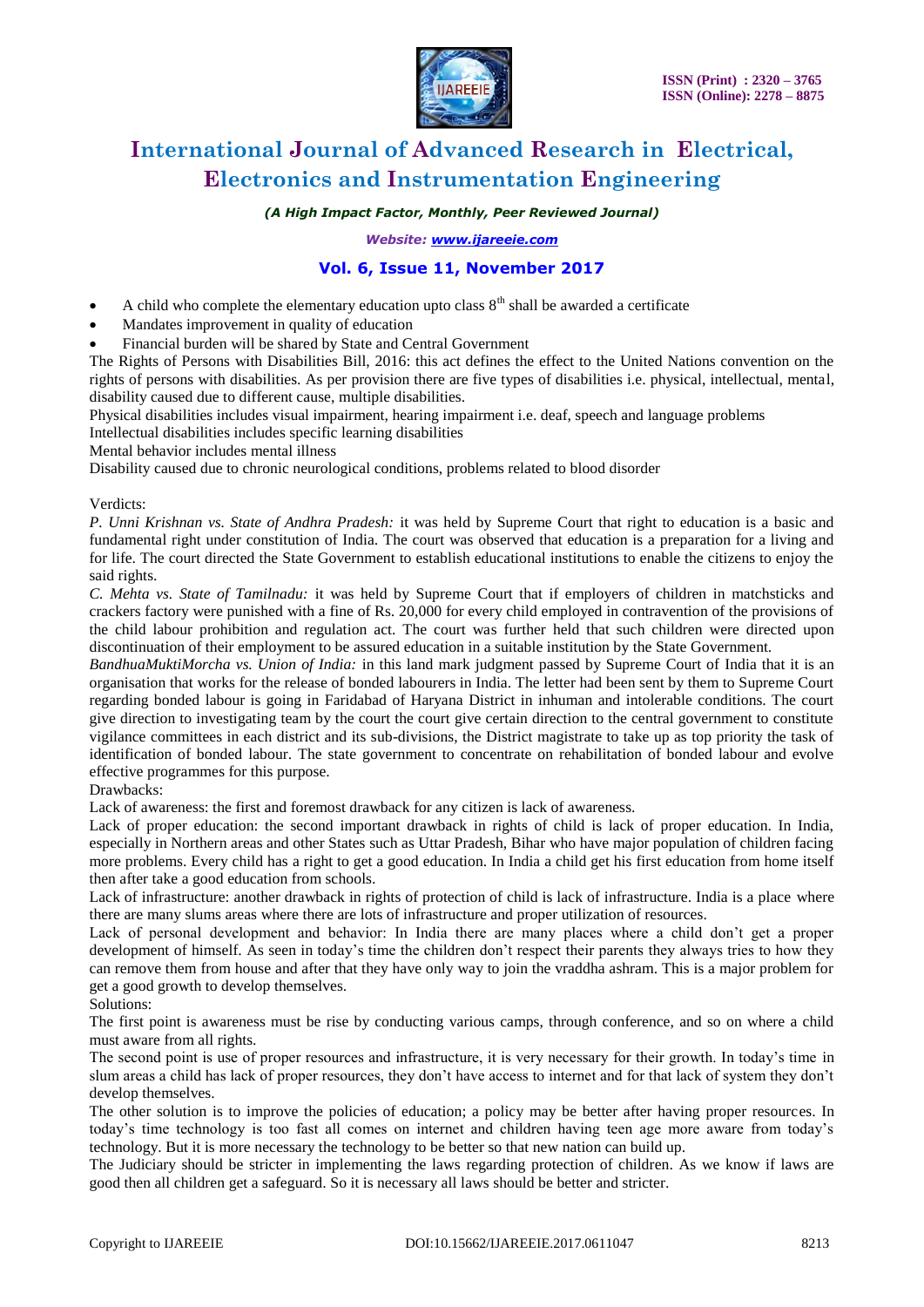

*(A High Impact Factor, Monthly, Peer Reviewed Journal)*

*Website: [www.ijareeie.com](http://www.ijareeie.com/)*

### **Vol. 6, Issue 11, November 2017**

- A child who complete the elementary education upto class  $8<sup>th</sup>$  shall be awarded a certificate
- Mandates improvement in quality of education
- Financial burden will be shared by State and Central Government

The Rights of Persons with Disabilities Bill, 2016: this act defines the effect to the United Nations convention on the rights of persons with disabilities. As per provision there are five types of disabilities i.e. physical, intellectual, mental, disability caused due to different cause, multiple disabilities.

Physical disabilities includes visual impairment, hearing impairment i.e. deaf, speech and language problems

Intellectual disabilities includes specific learning disabilities

Mental behavior includes mental illness

Disability caused due to chronic neurological conditions, problems related to blood disorder

#### Verdicts:

*P. Unni Krishnan vs. State of Andhra Pradesh:* it was held by Supreme Court that right to education is a basic and fundamental right under constitution of India. The court was observed that education is a preparation for a living and for life. The court directed the State Government to establish educational institutions to enable the citizens to enjoy the said rights.

*C. Mehta vs. State of Tamilnadu:* it was held by Supreme Court that if employers of children in matchsticks and crackers factory were punished with a fine of Rs. 20,000 for every child employed in contravention of the provisions of the child labour prohibition and regulation act. The court was further held that such children were directed upon discontinuation of their employment to be assured education in a suitable institution by the State Government.

*BandhuaMuktiMorcha vs. Union of India:* in this land mark judgment passed by Supreme Court of India that it is an organisation that works for the release of bonded labourers in India. The letter had been sent by them to Supreme Court regarding bonded labour is going in Faridabad of Haryana District in inhuman and intolerable conditions. The court give direction to investigating team by the court the court give certain direction to the central government to constitute vigilance committees in each district and its sub-divisions, the District magistrate to take up as top priority the task of identification of bonded labour. The state government to concentrate on rehabilitation of bonded labour and evolve effective programmes for this purpose.

#### Drawbacks:

Lack of awareness: the first and foremost drawback for any citizen is lack of awareness.

Lack of proper education: the second important drawback in rights of child is lack of proper education. In India, especially in Northern areas and other States such as Uttar Pradesh, Bihar who have major population of children facing more problems. Every child has a right to get a good education. In India a child get his first education from home itself then after take a good education from schools.

Lack of infrastructure: another drawback in rights of protection of child is lack of infrastructure. India is a place where there are many slums areas where there are lots of infrastructure and proper utilization of resources.

Lack of personal development and behavior: In India there are many places where a child don't get a proper development of himself. As seen in today's time the children don't respect their parents they always tries to how they can remove them from house and after that they have only way to join the vraddha ashram. This is a major problem for get a good growth to develop themselves.

#### Solutions:

The first point is awareness must be rise by conducting various camps, through conference, and so on where a child must aware from all rights.

The second point is use of proper resources and infrastructure, it is very necessary for their growth. In today's time in slum areas a child has lack of proper resources, they don't have access to internet and for that lack of system they don't develop themselves.

The other solution is to improve the policies of education; a policy may be better after having proper resources. In today's time technology is too fast all comes on internet and children having teen age more aware from today's technology. But it is more necessary the technology to be better so that new nation can build up.

The Judiciary should be stricter in implementing the laws regarding protection of children. As we know if laws are good then all children get a safeguard. So it is necessary all laws should be better and stricter.